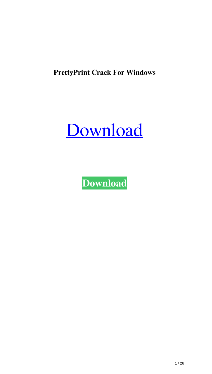**PrettyPrint Crack For Windows**



**[Download](http://evacdir.com/compulsorily/UHJldHR5UHJpbnQUHJ/secrecy/folklorico/fico.gaulle/ZG93bmxvYWR8M05wTmpKNE5IeDhNVFkxTkRVeU1qRXhNSHg4TWpVM05IeDhLRTBwSUhKbFlXUXRZbXh2WnlCYlJtRnpkQ0JIUlU1ZA/leukeamia?rooftops)**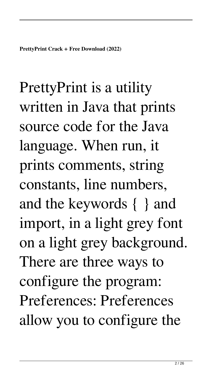**PrettyPrint Crack + Free Download (2022)**

PrettyPrint is a utility written in Java that prints source code for the Java language. When run, it prints comments, string constants, line numbers, and the keywords { } and import, in a light grey font on a light grey background. There are three ways to configure the program: Preferences: Preferences allow you to configure the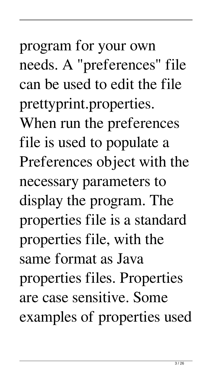needs. A "preferences" file can be used to edit the file prettyprint.properties. When run the preferences file is used to populate a Preferences object with the necessary parameters to display the program. The properties file is a standard properties file, with the same format as Java properties files. Properties are case sensitive. Some examples of properties used

program for your own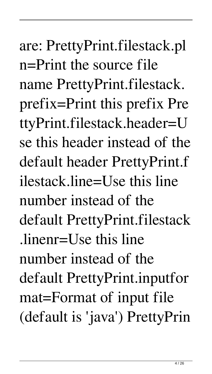are: PrettyPrint.filestack.pl n=Print the source file name PrettyPrint.filestack. prefix=Print this prefix Pre ttyPrint.filestack.header=U se this header instead of the default header PrettyPrint.f ilestack.line=Use this line number instead of the default PrettyPrint.filestack .linenr=Use this line number instead of the default PrettyPrint.inputfor mat=Format of input file (default is 'java') PrettyPrin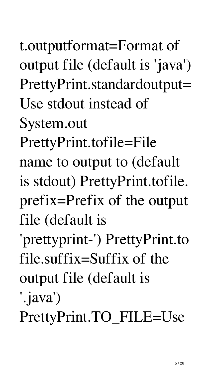t.outputformat=Format of output file (default is 'java') PrettyPrint.standardoutput= Use stdout instead of

System.out

PrettyPrint.tofile=File

name to output to (default is stdout) PrettyPrint.tofile. prefix=Prefix of the output file (default is

'prettyprint-') PrettyPrint.to file.suffix=Suffix of the output file (default is

'.java')

PrettyPrint.TO\_FILE=Use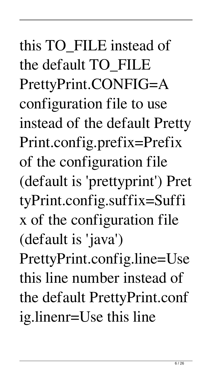# this TO\_FILE instead of the default TO\_FILE PrettyPrint.CONFIG=A configuration file to use instead of the default Pretty Print.config.prefix=Prefix of the configuration file (default is 'prettyprint') Pret tyPrint.config.suffix=Suffi x of the configuration file (default is 'java') PrettyPrint.config.line=Use this line number instead of the default PrettyPrint.conf ig.linenr=Use this line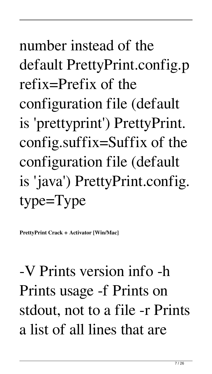# number instead of the default PrettyPrint.config.p refix=Prefix of the configuration file (default is 'prettyprint') PrettyPrint. config.suffix=Suffix of the configuration file (default is 'java') PrettyPrint.config. type=Type

**PrettyPrint Crack + Activator [Win/Mac]**

-V Prints version info -h Prints usage -f Prints on stdout, not to a file -r Prints a list of all lines that are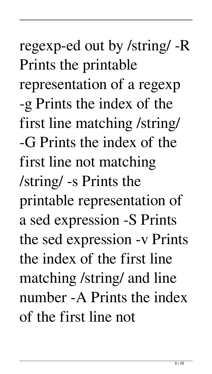## regexp-ed out by /string/ -R Prints the printable representation of a regexp -g Prints the index of the first line matching /string/ -G Prints the index of the first line not matching /string/ -s Prints the printable representation of a sed expression -S Prints the sed expression -v Prints the index of the first line matching /string/ and line number -A Prints the index of the first line not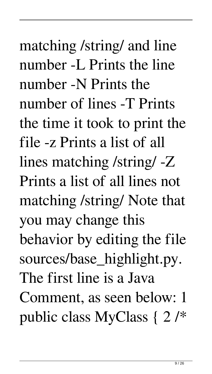matching /string/ and line number -L Prints the line number -N Prints the number of lines -T Prints the time it took to print the file -z Prints a list of all lines matching /string/ -Z Prints a list of all lines not matching /string/ Note that you may change this behavior by editing the file sources/base\_highlight.py. The first line is a Java Comment, as seen below: 1 public class MyClass { 2 /\*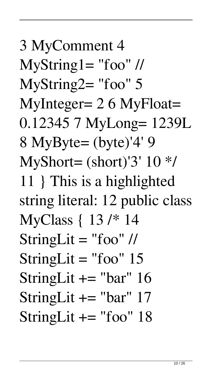3 MyComment 4  $MyString1 = "foo"$  // MyString2= "foo" 5 MyInteger= 2 6 MyFloat= 0.12345 7 MyLong= 1239L 8 MyByte= (byte)'4' 9 MyShort= (short)'3' 10 \*/ 11 } This is a highlighted string literal: 12 public class MyClass { 13 /\* 14 StringLit  $=$  "foo" // StringLit  $=$  "foo" 15 StringLit  $+=$  "bar" 16 StringLit  $+=$  "bar" 17 StringLit  $+=$  "foo" 18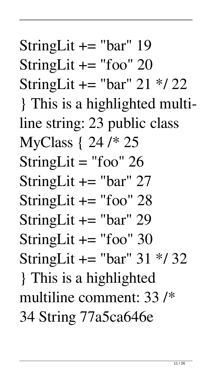StringLit  $+=$  "bar" 19 StringLit  $+=$  "foo" 20 StringLit  $+=$  "bar" 21  $*/$  22 } This is a highlighted multiline string: 23 public class MyClass { 24 /\* 25 StringLit  $=$  "foo" 26 StringLit  $+=$  "bar" 27 StringLit  $+=$  "foo" 28 StringLit  $+=$  "bar" 29 StringLit  $+=$  "foo" 30 StringLit  $+=$  "bar" 31  $*/32$ } This is a highlighted multiline comment: 33 /\* 34 String 77a5ca646e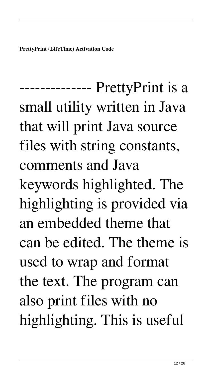**PrettyPrint (LifeTime) Activation Code**

-------------- PrettyPrint is a small utility written in Java that will print Java source files with string constants, comments and Java keywords highlighted. The highlighting is provided via an embedded theme that can be edited. The theme is used to wrap and format the text. The program can also print files with no highlighting. This is useful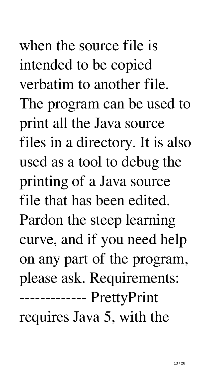when the source file is intended to be copied verbatim to another file. The program can be used to print all the Java source files in a directory. It is also used as a tool to debug the printing of a Java source file that has been edited. Pardon the steep learning curve, and if you need help on any part of the program, please ask. Requirements: ------------- PrettyPrint requires Java 5, with the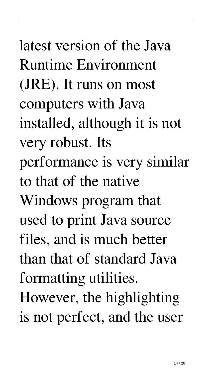latest version of the Java Runtime Environment (JRE). It runs on most computers with Java installed, although it is not very robust. Its performance is very similar to that of the native Windows program that used to print Java source files, and is much better than that of standard Java formatting utilities. However, the highlighting is not perfect, and the user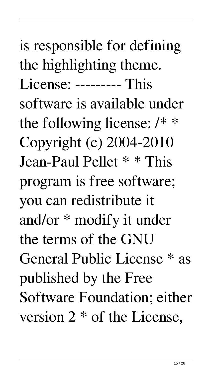is responsible for defining the highlighting theme. License: --------- This software is available under the following license: /\* \* Copyright (c) 2004-2010 Jean-Paul Pellet \* \* This program is free software; you can redistribute it and/or \* modify it under the terms of the GNU General Public License \* as published by the Free Software Foundation; either version 2 \* of the License,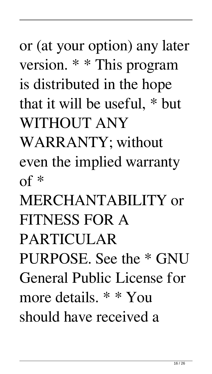or (at your option) any later version. \* \* This program is distributed in the hope that it will be useful, \* but WITHOUT ANY

WARRANTY; without even the implied warranty of \*

MERCHANTABILITY or FITNESS FOR A

PARTICULAR

PURPOSE. See the \* GNU General Public License for

more details. \* \* You

should have received a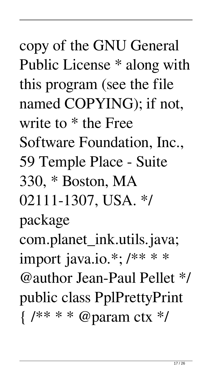copy of the GNU General Public License \* along with this program (see the file named COPYING); if not, write to \* the Free Software Foundation, Inc., 59 Temple Place - Suite 330, \* Boston, MA 02111-1307, USA. \*/ package com.planet\_ink.utils.java; import java.io.\*; /\*\* \* \* @author Jean-Paul Pellet \*/ public class PplPrettyPrint  $\{ /**** \otimes \text{param} ctx * \}$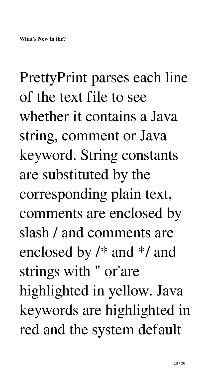PrettyPrint parses each line of the text file to see whether it contains a Java string, comment or Java keyword. String constants are substituted by the corresponding plain text, comments are enclosed by slash / and comments are enclosed by /\* and \*/ and strings with " or'are highlighted in yellow. Java keywords are highlighted in red and the system default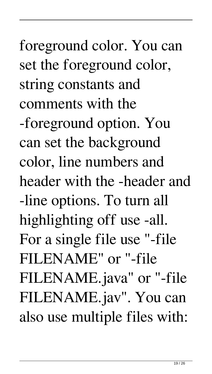foreground color. You can set the foreground color, string constants and comments with the -foreground option. You can set the background color, line numbers and header with the -header and -line options. To turn all highlighting off use -all. For a single file use "-file FILENAME" or "-file FILENAME.java" or "-file FILENAME.jav". You can also use multiple files with: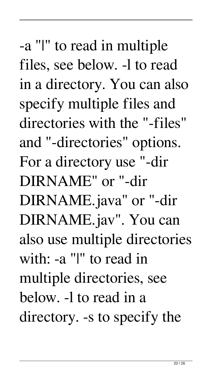-a "|" to read in multiple files, see below. -l to read in a directory. You can also specify multiple files and directories with the "-files" and "-directories" options. For a directory use "-dir DIRNAME" or "-dir DIRNAME.java" or "-dir DIRNAME.jav". You can also use multiple directories with: -a "|" to read in multiple directories, see below. -l to read in a directory. -s to specify the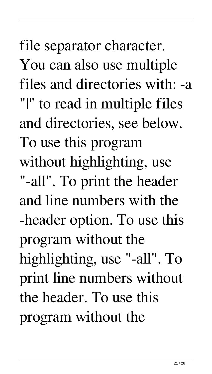file separator character. You can also use multiple files and directories with: -a "|" to read in multiple files and directories, see below. To use this program without highlighting, use "-all". To print the header and line numbers with the -header option. To use this program without the highlighting, use "-all". To print line numbers without the header. To use this program without the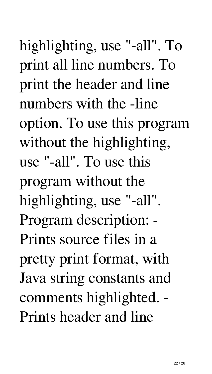highlighting, use "-all". To print all line numbers. To print the header and line numbers with the -line option. To use this program without the highlighting, use "-all". To use this program without the highlighting, use "-all". Program description: - Prints source files in a pretty print format, with Java string constants and comments highlighted. - Prints header and line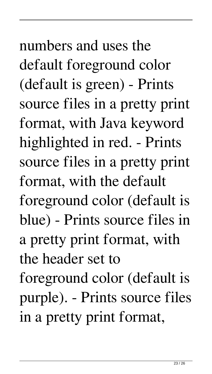numbers and uses the default foreground color (default is green) - Prints source files in a pretty print format, with Java keyword highlighted in red. - Prints source files in a pretty print format, with the default foreground color (default is blue) - Prints source files in a pretty print format, with the header set to foreground color (default is purple). - Prints source files in a pretty print format,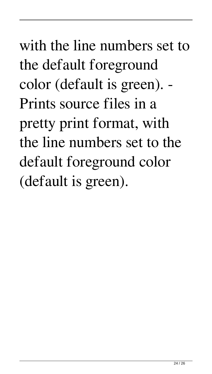# with the line numbers set to the default foreground color (default is green). - Prints source files in a pretty print format, with the line numbers set to the default foreground color (default is green).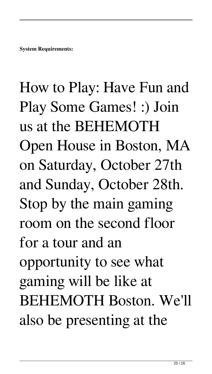### How to Play: Have Fun and Play Some Games! :) Join us at the BEHEMOTH Open House in Boston, MA on Saturday, October 27th and Sunday, October 28th. Stop by the main gaming room on the second floor for a tour and an opportunity to see what gaming will be like at BEHEMOTH Boston. We'll also be presenting at the